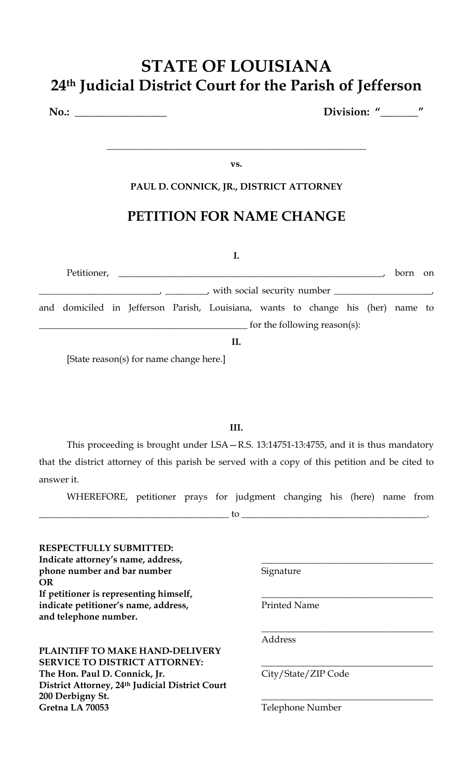### **PAUL D. CONNICK, JR., DISTRICT ATTORNEY**

**vs.**

## **PETITION FOR NAME CHANGE**

#### **I.**

|  |  |  |                              |  |                                                                                 |  |  |  |  |  | born | <sub>on</sub> |
|--|--|--|------------------------------|--|---------------------------------------------------------------------------------|--|--|--|--|--|------|---------------|
|  |  |  |                              |  |                                                                                 |  |  |  |  |  |      |               |
|  |  |  |                              |  | and domiciled in Jefferson Parish, Louisiana, wants to change his (her) name to |  |  |  |  |  |      |               |
|  |  |  | for the following reason(s): |  |                                                                                 |  |  |  |  |  |      |               |
|  |  |  |                              |  |                                                                                 |  |  |  |  |  |      |               |

[State reason(s) for name change here.]

#### **III.**

This proceeding is brought under LSA—R.S. 13:14751-13:4755, and it is thus mandatory that the district attorney of this parish be served with a copy of this petition and be cited to answer it.

WHEREFORE, petitioner prays for judgment changing his (here) name from

 $\hbox{tot}$  to  $\hbox{Lap}$ 

| <b>RESPECTFULLY SUBMITTED:</b><br>Indicate attorney's name, address,<br>phone number and bar number<br><b>OR</b> | Signature           |  |  |  |  |
|------------------------------------------------------------------------------------------------------------------|---------------------|--|--|--|--|
| If petitioner is representing himself,                                                                           |                     |  |  |  |  |
| indicate petitioner's name, address,<br>and telephone number.                                                    | <b>Printed Name</b> |  |  |  |  |
|                                                                                                                  | Address             |  |  |  |  |
| <b>PLAINTIFF TO MAKE HAND-DELIVERY</b>                                                                           |                     |  |  |  |  |
| <b>SERVICE TO DISTRICT ATTORNEY:</b>                                                                             |                     |  |  |  |  |
| The Hon. Paul D. Connick, Jr.                                                                                    | City/State/ZIP Code |  |  |  |  |
| District Attorney, 24th Judicial District Court                                                                  |                     |  |  |  |  |
| 200 Derbigny St.                                                                                                 |                     |  |  |  |  |
| Gretna LA 70053                                                                                                  | Telephone Number    |  |  |  |  |
|                                                                                                                  |                     |  |  |  |  |